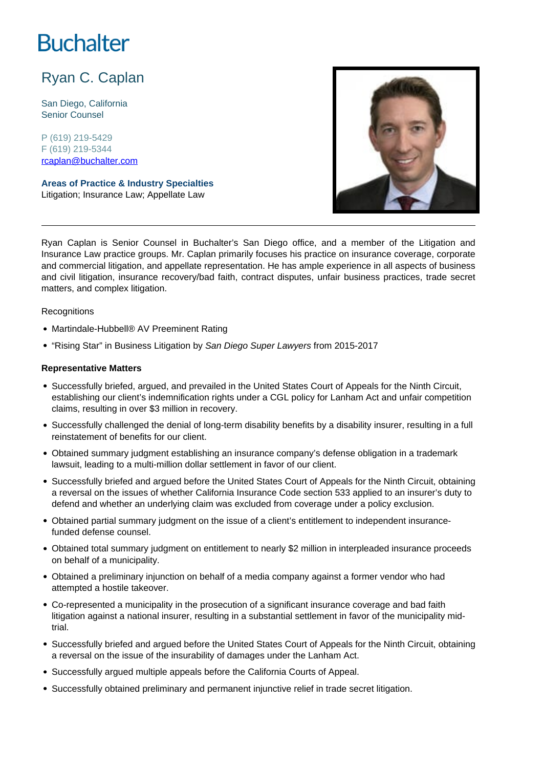# **Buchalter**

## Ryan C. Caplan

San Diego, California Senior Counsel

P (619) 219-5429 F (619) 219-5344 rcaplan@buchalter.com

**Areas of Practice & Industry Specialties** Litigation; Insurance Law; Appellate Law



Ryan Caplan is Senior Counsel in Buchalter's San Diego office, and a member of the Litigation and Insurance Law practice groups. Mr. Caplan primarily focuses his practice on insurance coverage, corporate and commercial litigation, and appellate representation. He has ample experience in all aspects of business and civil litigation, insurance recovery/bad faith, contract disputes, unfair business practices, trade secret matters, and complex litigation.

#### **Recognitions**

- Martindale-Hubbell® AV Preeminent Rating
- "Rising Star" in Business Litigation by San Diego Super Lawyers from 2015-2017

#### **Representative Matters**

- Successfully briefed, argued, and prevailed in the United States Court of Appeals for the Ninth Circuit, establishing our client's indemnification rights under a CGL policy for Lanham Act and unfair competition claims, resulting in over \$3 million in recovery.
- Successfully challenged the denial of long-term disability benefits by a disability insurer, resulting in a full reinstatement of benefits for our client.
- Obtained summary judgment establishing an insurance company's defense obligation in a trademark lawsuit, leading to a multi-million dollar settlement in favor of our client.
- Successfully briefed and argued before the United States Court of Appeals for the Ninth Circuit, obtaining a reversal on the issues of whether California Insurance Code section 533 applied to an insurer's duty to defend and whether an underlying claim was excluded from coverage under a policy exclusion.
- Obtained partial summary judgment on the issue of a client's entitlement to independent insurancefunded defense counsel.
- Obtained total summary judgment on entitlement to nearly \$2 million in interpleaded insurance proceeds on behalf of a municipality.
- Obtained a preliminary injunction on behalf of a media company against a former vendor who had attempted a hostile takeover.
- Co-represented a municipality in the prosecution of a significant insurance coverage and bad faith litigation against a national insurer, resulting in a substantial settlement in favor of the municipality midtrial.
- Successfully briefed and argued before the United States Court of Appeals for the Ninth Circuit, obtaining a reversal on the issue of the insurability of damages under the Lanham Act.
- Successfully argued multiple appeals before the California Courts of Appeal.
- Successfully obtained preliminary and permanent injunctive relief in trade secret litigation.